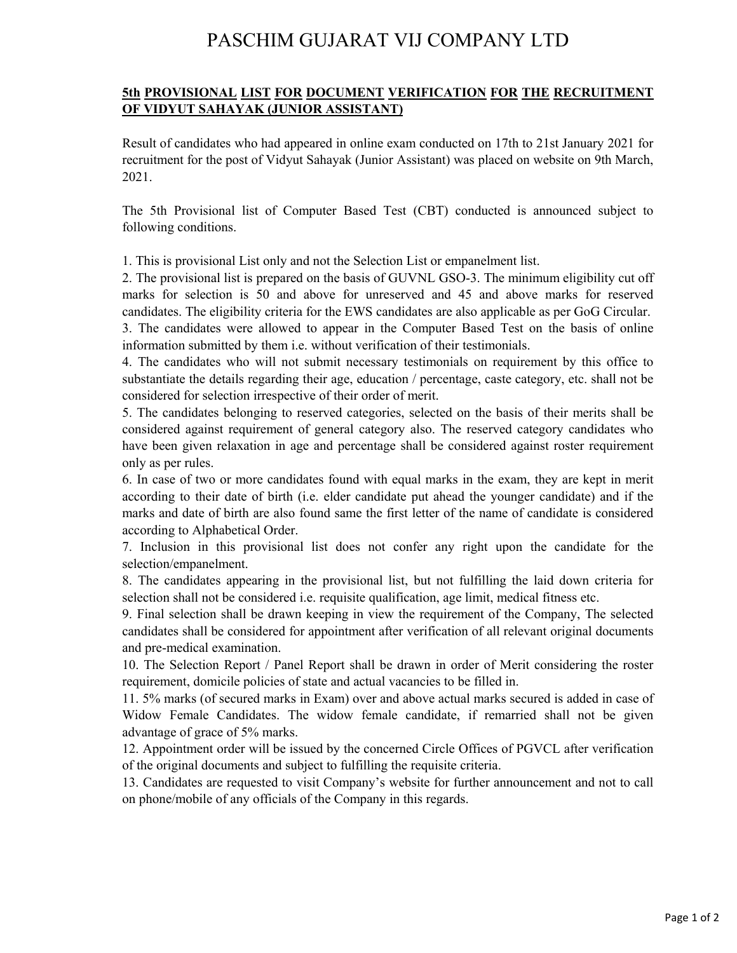## PASCHIM GUJARAT VIJ COMPANY LTD

## **5th PROVISIONAL LIST FOR DOCUMENT VERIFICATION FOR THE RECRUITMENT OF VIDYUT SAHAYAK (JUNIOR ASSISTANT)**

Result of candidates who had appeared in online exam conducted on 17th to 21st January 2021 for recruitment for the post of Vidyut Sahayak (Junior Assistant) was placed on website on 9th March, 2021.

The 5th Provisional list of Computer Based Test (CBT) conducted is announced subject to following conditions.

1. This is provisional List only and not the Selection List or empanelment list.

2. The provisional list is prepared on the basis of GUVNL GSO-3. The minimum eligibility cut off marks for selection is 50 and above for unreserved and 45 and above marks for reserved candidates. The eligibility criteria for the EWS candidates are also applicable as per GoG Circular.

3. The candidates were allowed to appear in the Computer Based Test on the basis of online information submitted by them i.e. without verification of their testimonials.

4. The candidates who will not submit necessary testimonials on requirement by this office to substantiate the details regarding their age, education / percentage, caste category, etc. shall not be considered for selection irrespective of their order of merit.

5. The candidates belonging to reserved categories, selected on the basis of their merits shall be considered against requirement of general category also. The reserved category candidates who have been given relaxation in age and percentage shall be considered against roster requirement only as per rules.

6. In case of two or more candidates found with equal marks in the exam, they are kept in merit according to their date of birth (i.e. elder candidate put ahead the younger candidate) and if the marks and date of birth are also found same the first letter of the name of candidate is considered according to Alphabetical Order.

7. Inclusion in this provisional list does not confer any right upon the candidate for the selection/empanelment.

8. The candidates appearing in the provisional list, but not fulfilling the laid down criteria for selection shall not be considered i.e. requisite qualification, age limit, medical fitness etc.

9. Final selection shall be drawn keeping in view the requirement of the Company, The selected candidates shall be considered for appointment after verification of all relevant original documents and pre-medical examination.

10. The Selection Report / Panel Report shall be drawn in order of Merit considering the roster requirement, domicile policies of state and actual vacancies to be filled in.

11. 5% marks (of secured marks in Exam) over and above actual marks secured is added in case of Widow Female Candidates. The widow female candidate, if remarried shall not be given advantage of grace of 5% marks.

12. Appointment order will be issued by the concerned Circle Offices of PGVCL after verification of the original documents and subject to fulfilling the requisite criteria.

13. Candidates are requested to visit Company's website for further announcement and not to call on phone/mobile of any officials of the Company in this regards.